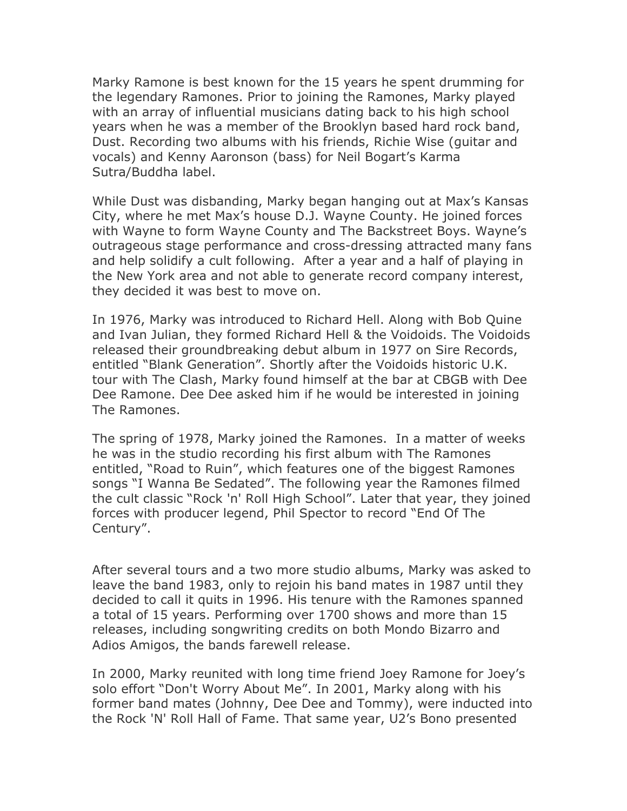Marky Ramone is best known for the 15 years he spent drumming for the legendary Ramones. Prior to joining the Ramones, Marky played with an array of influential musicians dating back to his high school years when he was a member of the Brooklyn based hard rock band, Dust. Recording two albums with his friends, Richie Wise (guitar and vocals) and Kenny Aaronson (bass) for Neil Bogart's Karma Sutra/Buddha label.

While Dust was disbanding, Marky began hanging out at Max's Kansas City, where he met Max's house D.J. Wayne County. He joined forces with Wayne to form Wayne County and The Backstreet Boys. Wayne's outrageous stage performance and cross-dressing attracted many fans and help solidify a cult following. After a year and a half of playing in the New York area and not able to generate record company interest, they decided it was best to move on.

In 1976, Marky was introduced to Richard Hell. Along with Bob Quine and Ivan Julian, they formed Richard Hell & the Voidoids. The Voidoids released their groundbreaking debut album in 1977 on Sire Records, entitled "Blank Generation". Shortly after the Voidoids historic U.K. tour with The Clash, Marky found himself at the bar at CBGB with Dee Dee Ramone. Dee Dee asked him if he would be interested in joining The Ramones.

The spring of 1978, Marky joined the Ramones. In a matter of weeks he was in the studio recording his first album with The Ramones entitled, "Road to Ruin", which features one of the biggest Ramones songs "I Wanna Be Sedated". The following year the Ramones filmed the cult classic "Rock 'n' Roll High School". Later that year, they joined forces with producer legend, Phil Spector to record "End Of The Century".

After several tours and a two more studio albums, Marky was asked to leave the band 1983, only to rejoin his band mates in 1987 until they decided to call it quits in 1996. His tenure with the Ramones spanned a total of 15 years. Performing over 1700 shows and more than 15 releases, including songwriting credits on both Mondo Bizarro and Adios Amigos, the bands farewell release.

In 2000, Marky reunited with long time friend Joey Ramone for Joey's solo effort "Don't Worry About Me". In 2001, Marky along with his former band mates (Johnny, Dee Dee and Tommy), were inducted into the Rock 'N' Roll Hall of Fame. That same year, U2's Bono presented